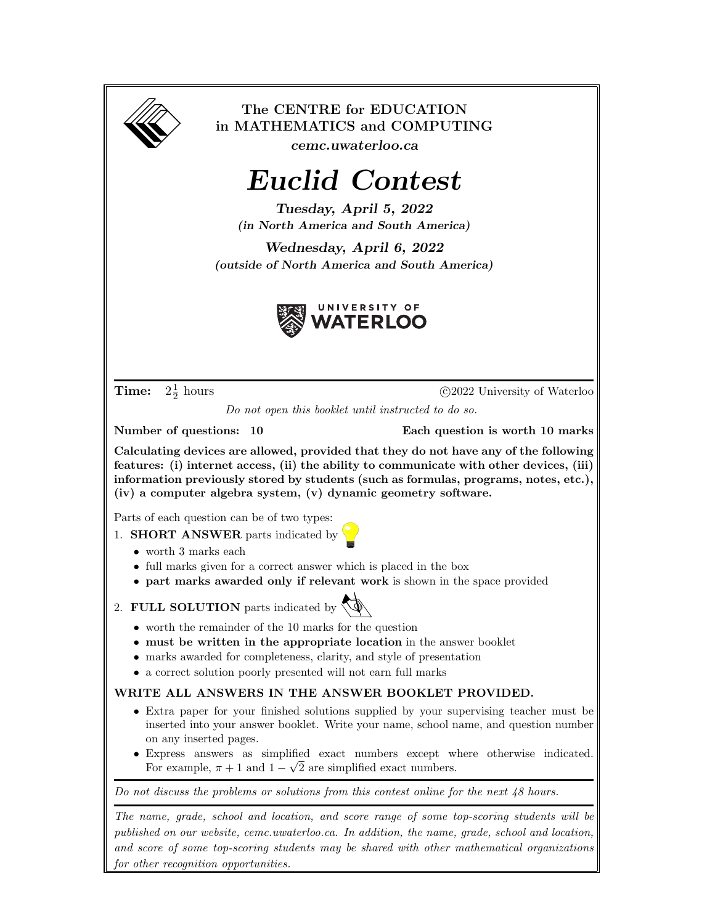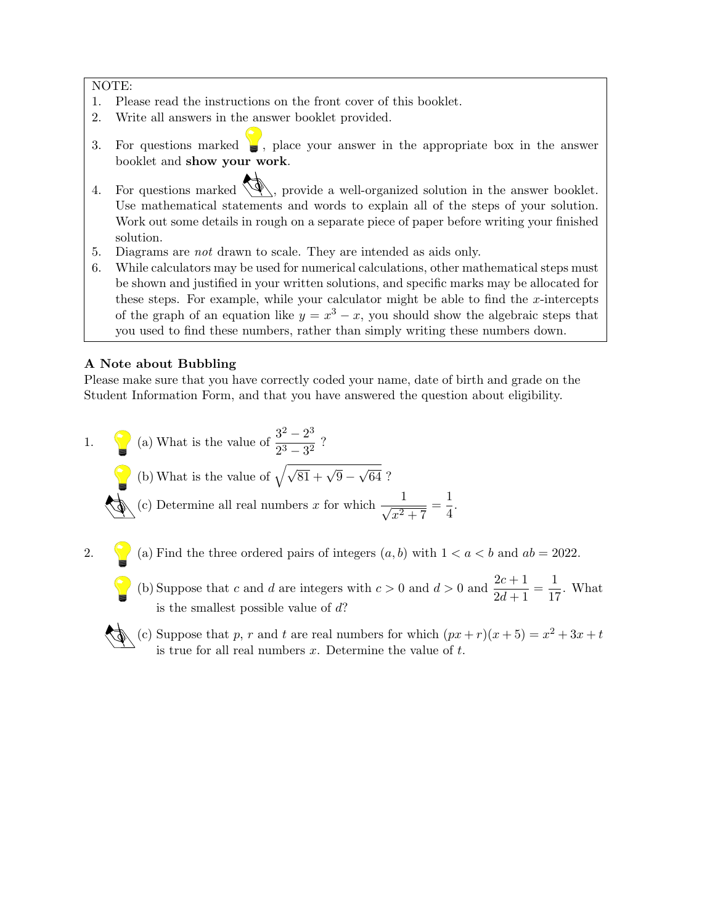#### NOTE:

- 1. Please read the instructions on the front cover of this booklet.
- 2. Write all answers in the answer booklet provided.
- 3. For questions marked  $\bullet$ , place your answer in the appropriate box in the answer booklet and show your work.
- 4. For questions marked  $\langle \mathcal{L} \rangle$ , provide a well-organized solution in the answer booklet. Use mathematical statements and words to explain all of the steps of your solution. Work out some details in rough on a separate piece of paper before writing your finished solution.
- 5. Diagrams are not drawn to scale. They are intended as aids only.
- 6. While calculators may be used for numerical calculations, other mathematical steps must be shown and justified in your written solutions, and specific marks may be allocated for these steps. For example, while your calculator might be able to find the  $x$ -intercepts of the graph of an equation like  $y = x^3 - x$ , you should show the algebraic steps that you used to find these numbers, rather than simply writing these numbers down.

### A Note about Bubbling

Please make sure that you have correctly coded your name, date of birth and grade on the Student Information Form, and that you have answered the question about eligibility.



- is the smallest possible value of  $d$ ?
- (c) Suppose that p, r and t are real numbers for which  $(px + r)(x + 5) = x^2 + 3x + t$ is true for all real numbers  $x$ . Determine the value of  $t$ .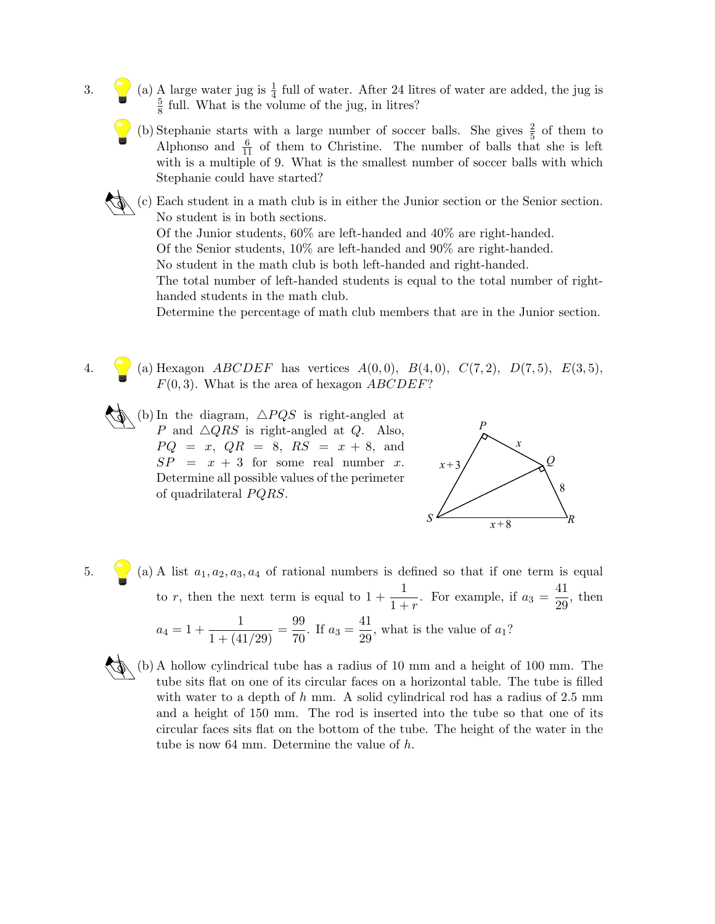- 3. (a) A large water jug is  $\frac{1}{4}$  full of water. After 24 litres of water are added, the jug is 5  $\frac{5}{8}$  full. What is the volume of the jug, in litres?
	- (b) Stephanie starts with a large number of soccer balls. She gives  $\frac{2}{5}$  of them to Alphonso and  $\frac{6}{11}$  of them to Christine. The number of balls that she is left with is a multiple of 9. What is the smallest number of soccer balls with which Stephanie could have started?
	- (c) Each student in a math club is in either the Junior section or the Senior section. No student is in both sections. Of the Junior students, 60% are left-handed and 40% are right-handed. Of the Senior students, 10% are left-handed and 90% are right-handed. No student in the math club is both left-handed and right-handed. The total number of left-handed students is equal to the total number of righthanded students in the math club.

Determine the percentage of math club members that are in the Junior section.

- 4. (a) Hexagon *ABCDEF* has vertices  $A(0,0)$ ,  $B(4,0)$ ,  $C(7,2)$ ,  $D(7,5)$ ,  $E(3,5)$ ,  $F(0, 3)$ . What is the area of hexagon  $ABCDEF$ ?
	- $\wedge$  (b) In the diagram,  $\triangle PQS$  is right-angled at P and  $\triangle QRS$  is right-angled at Q. Also,  $PQ = x$ ,  $QR = 8$ ,  $RS = x + 8$ , and  $SP = x + 3$  for some real number x. Determine all possible values of the perimeter of quadrilateral  $PQRS$ .



- 5. (a) A list  $a_1, a_2, a_3, a_4$  of rational numbers is defined so that if one term is equal to r, then the next term is equal to  $1 + \frac{1}{1+r}$ . For example, if  $a_3 = \frac{41}{29}$  $\frac{1}{29}$ , then  $a_4 = 1 + \frac{1}{1 + (41/29)} = \frac{99}{70}$  $\frac{99}{70}$ . If  $a_3 = \frac{41}{29}$  $\frac{11}{29}$ , what is the value of  $a_1$ ?
	- (b) A hollow cylindrical tube has a radius of 10 mm and a height of 100 mm. The tube sits flat on one of its circular faces on a horizontal table. The tube is filled with water to a depth of h mm. A solid cylindrical rod has a radius of  $2.5 \text{ mm}$ and a height of 150 mm. The rod is inserted into the tube so that one of its circular faces sits flat on the bottom of the tube. The height of the water in the tube is now 64 mm. Determine the value of h.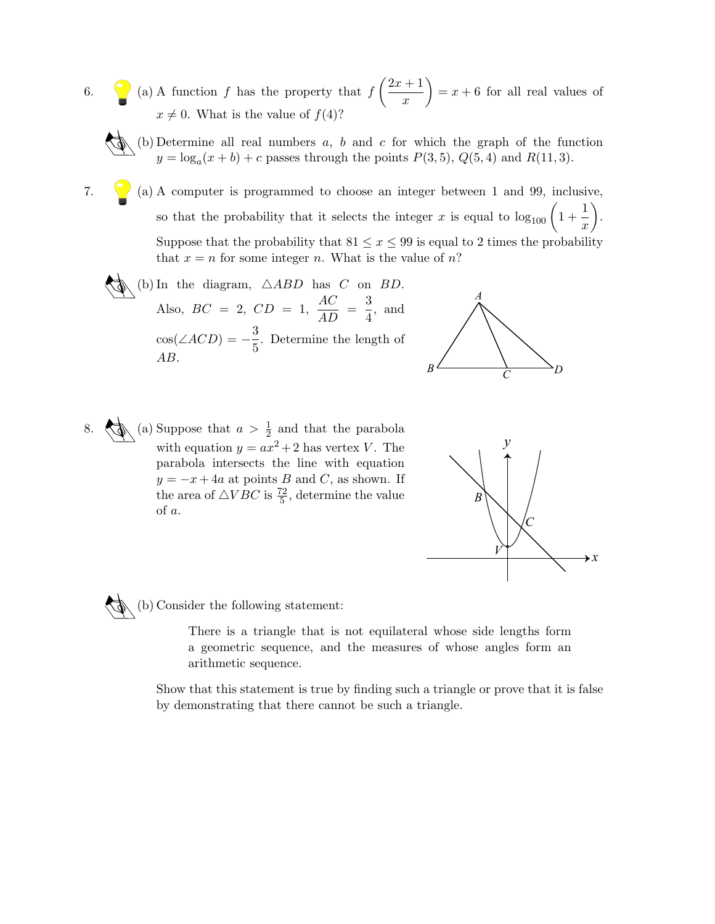- 6.  $\bigcirc$  (a) A function f has the property that  $f\left(\frac{2x+1}{x}\right)$  $\boldsymbol{x}$  $= x + 6$  for all real values of  $x \neq 0$ . What is the value of  $f(4)$ ?
	- (b) Determine all real numbers  $a, b$  and  $c$  for which the graph of the function  $y = \log_a(x+b) + c$  passes through the points  $P(3,5)$ ,  $Q(5,4)$  and  $R(11,3)$ .
- 7.  $\bigvee$  (a) A computer is programmed to choose an integer between 1 and 99, inclusive, so that the probability that it selects the integer x is equal to  $\log_{100} \left(1 + \frac{1}{\pi}\right)$  $\boldsymbol{x}$  . Suppose that the probability that  $81 \le x \le 99$  is equal to 2 times the probability that  $x = n$  for some integer n. What is the value of n?
	- (b) In the diagram,  $\triangle ABD$  has C on BD. Also,  $BC = 2$ ,  $CD = 1$ ,  $\frac{AC}{AD} = \frac{3}{4}$  $\frac{3}{4}$ , and  $cos(\angle ACD) = -\frac{3}{5}$  $\frac{5}{5}$ . Determine the length of AB.



8.  $\left\langle \phi \right\rangle$  (a) Suppose that  $a > \frac{1}{2}$  and that the parabola with equation  $y = ax^2 + 2$  has vertex V. The parabola intersects the line with equation  $y = -x + 4a$  at points B and C, as shown. If the area of  $\triangle VBC$  is  $\frac{72}{5}$ , determine the value of a.



(b) Consider the following statement:

There is a triangle that is not equilateral whose side lengths form a geometric sequence, and the measures of whose angles form an arithmetic sequence.

Show that this statement is true by finding such a triangle or prove that it is false by demonstrating that there cannot be such a triangle.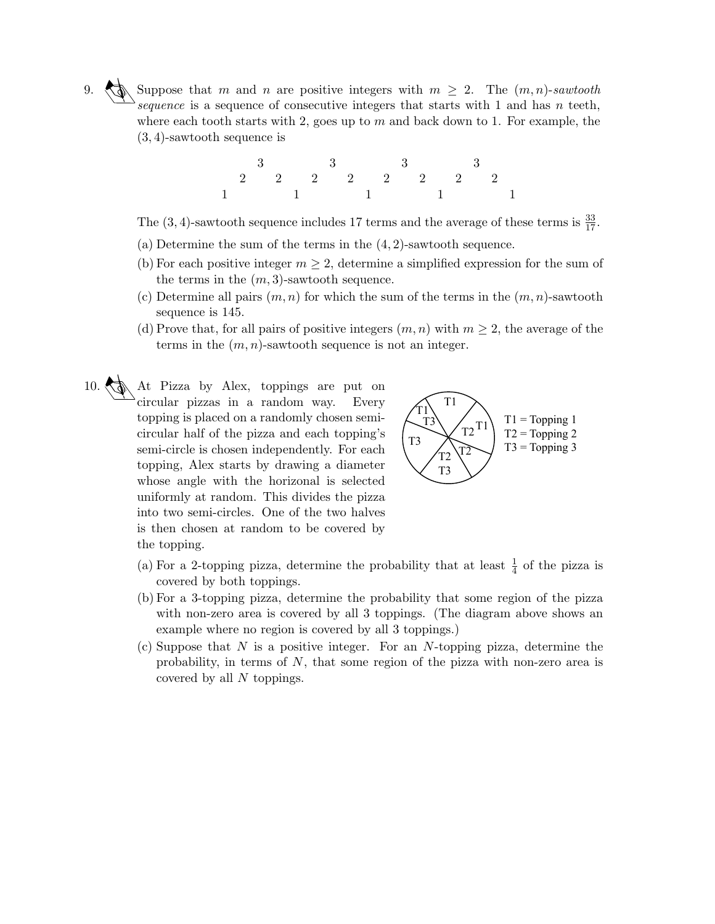Suppose that m and n are positive integers with  $m \geq 2$ . The  $(m, n)$ -sawtooth sequence is a sequence of consecutive integers that starts with 1 and has  $n$  teeth, where each tooth starts with 2, goes up to  $m$  and back down to 1. For example, the (3, 4)-sawtooth sequence is



The (3, 4)-sawtooth sequence includes 17 terms and the average of these terms is  $\frac{33}{17}$ .

- (a) Determine the sum of the terms in the  $(4, 2)$ -sawtooth sequence.
- (b) For each positive integer  $m \geq 2$ , determine a simplified expression for the sum of the terms in the  $(m, 3)$ -sawtooth sequence.
- (c) Determine all pairs  $(m, n)$  for which the sum of the terms in the  $(m, n)$ -sawtooth sequence is 145.
- (d) Prove that, for all pairs of positive integers  $(m, n)$  with  $m \geq 2$ , the average of the terms in the  $(m, n)$ -sawtooth sequence is not an integer.
- 10. At Pizza by Alex, toppings are put on circular pizzas in a random way. Every topping is placed on a randomly chosen semicircular half of the pizza and each topping's semi-circle is chosen independently. For each topping, Alex starts by drawing a diameter whose angle with the horizonal is selected uniformly at random. This divides the pizza into two semi-circles. One of the two halves is then chosen at random to be covered by the topping.



- (a) For a 2-topping pizza, determine the probability that at least  $\frac{1}{4}$  of the pizza is covered by both toppings.
- (b) For a 3-topping pizza, determine the probability that some region of the pizza with non-zero area is covered by all 3 toppings. (The diagram above shows an example where no region is covered by all 3 toppings.)
- (c) Suppose that  $N$  is a positive integer. For an  $N$ -topping pizza, determine the probability, in terms of N, that some region of the pizza with non-zero area is covered by all N toppings.